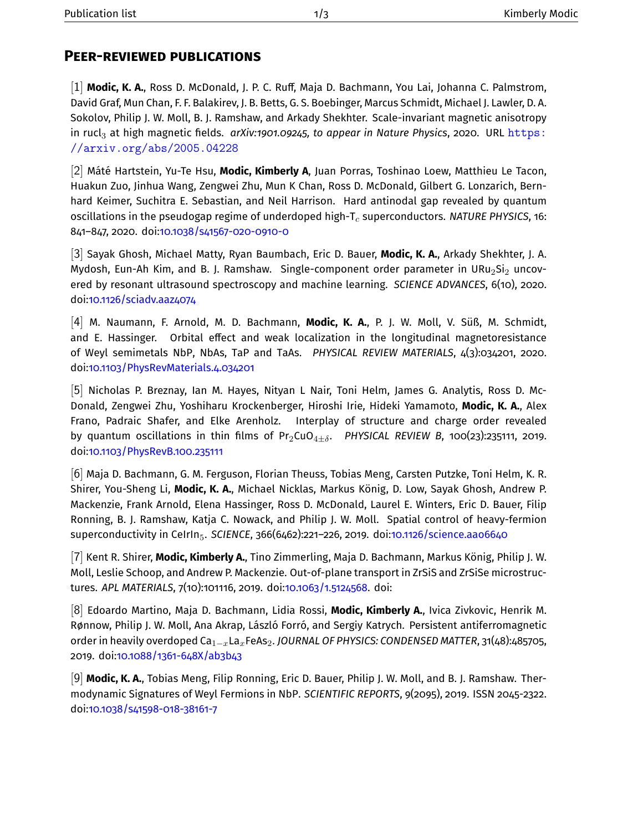## **Peer-reviewed publications**

[1] Modic, K. A., Ross D. McDonald, J. P. C. Ruff, Maja D. Bachmann, You Lai, Johanna C. Palmstrom, David Graf, Mun Chan, F. F. Balakirev, J. B. Betts, G. S. Boebinger, Marcus Schmidt, Michael J. Lawler, D. A. Sokolov, Philip J. W. Moll, B. J. Ramshaw, and Arkady Shekhter. Scale-invariant magnetic anisotropy in rucl<sub>3</sub> at high magnetic fields. *arXiv:1901.09245*, to appear in Nature Physics, 2020. URL [https:](https://arxiv.org/abs/2005.04228) [//arxiv.org/abs/2005.04228](https://arxiv.org/abs/2005.04228)

[2] Máté Hartstein, Yu-Te Hsu, **Modic, Kimberly A**, Juan Porras, Toshinao Loew, Matthieu Le Tacon, Huakun Zuo, Jinhua Wang, Zengwei Zhu, Mun K Chan, Ross D. McDonald, Gilbert G. Lonzarich, Bernhard Keimer, Suchitra E. Sebastian, and Neil Harrison. Hard antinodal gap revealed by quantum oscillations in the pseudogap regime of underdoped high- $T_c$  superconductors. *NATURE PHYSICS*, 16: 841–847, 2020. doi[:10.1038/s41567-020-0910-0](https://doi.org/10.1038/s41567-020-0910-0)

[3] Sayak Ghosh, Michael Matty, Ryan Baumbach, Eric D. Bauer, **Modic, K. A.**, Arkady Shekhter, J. A. Mydosh, Eun-Ah Kim, and B. J. Ramshaw. Single-component order parameter in URu $_2$ Si $_2$  uncovered by resonant ultrasound spectroscopy and machine learning. *SCIENCE ADVANCES*, 6(10), 2020. doi[:10.1126/sciadv.aaz4074](https://doi.org/10.1126/sciadv.aaz4074)

[4] M. Naumann, F. Arnold, M. D. Bachmann, **Modic, K. A.**, P. J. W. Moll, V. Süß, M. Schmidt, and E. Hassinger. Orbital effect and weak localization in the longitudinal magnetoresistance of Weyl semimetals NbP, NbAs, TaP and TaAs. *PHYSICAL REVIEW MATERIALS*, 4(3):034201, 2020. doi[:10.1103/PhysRevMaterials.4.034201](https://doi.org/10.1103/PhysRevMaterials.4.034201)

[5] Nicholas P. Breznay, Ian M. Hayes, Nityan L Nair, Toni Helm, James G. Analytis, Ross D. Mc-Donald, Zengwei Zhu, Yoshiharu Krockenberger, Hiroshi Irie, Hideki Yamamoto, **Modic, K. A.**, Alex Frano, Padraic Shafer, and Elke Arenholz. Interplay of structure and charge order revealed by quantum oscillations in thin films of  $Pr_2CuO_{4+\delta}$ . *PHYSICAL REVIEW B*, 100(23):235111, 2019. doi[:10.1103/PhysRevB.100.235111](https://doi.org/10.1103/PhysRevB.100.235111)

[6] Maja D. Bachmann, G. M. Ferguson, Florian Theuss, Tobias Meng, Carsten Putzke, Toni Helm, K. R. Shirer, You-Sheng Li, **Modic, K. A.**, Michael Nicklas, Markus König, D. Low, Sayak Ghosh, Andrew P. Mackenzie, Frank Arnold, Elena Hassinger, Ross D. McDonald, Laurel E. Winters, Eric D. Bauer, Filip Ronning, B. J. Ramshaw, Katja C. Nowack, and Philip J. W. Moll. Spatial control of heavy-fermion superconductivity in CeIrIn5. *SCIENCE*, 366(6462):221–226, 2019. doi[:10.1126/science.aao6640](https://doi.org/10.1126/science.aao6640)

[7] Kent R. Shirer, **Modic, Kimberly A.**, Tino Zimmerling, Maja D. Bachmann, Markus König, Philip J. W. Moll, Leslie Schoop, and Andrew P. Mackenzie. Out-of-plane transport in ZrSiS and ZrSiSe microstructures. *APL MATERIALS*, 7(10):101116, 2019. doi[:10.1063/1.5124568.](https://doi.org/10.1063/1.5124568) doi:

[8] Edoardo Martino, Maja D. Bachmann, Lidia Rossi, **Modic, Kimberly A.**, Ivica Zivkovic, Henrik M. Rønnow, Philip J. W. Moll, Ana Akrap, László Forró, and Sergiy Katrych. Persistent antiferromagnetic order in heavily overdoped Ca1−xLaxFeAs2. *JOURNAL OF PHYSICS: CONDENSED MATTER*, 31(48):485705, 2019. doi[:10.1088/1361-648X/ab3b43](https://doi.org/10.1088/1361-648X/ab3b43)

[9] **Modic, K. A.**, Tobias Meng, Filip Ronning, Eric D. Bauer, Philip J. W. Moll, and B. J. Ramshaw. Thermodynamic Signatures of Weyl Fermions in NbP. *SCIENTIFIC REPORTS*, 9(2095), 2019. ISSN 2045-2322. doi[:10.1038/s41598-018-38161-7](https://doi.org/10.1038/s41598-018-38161-7)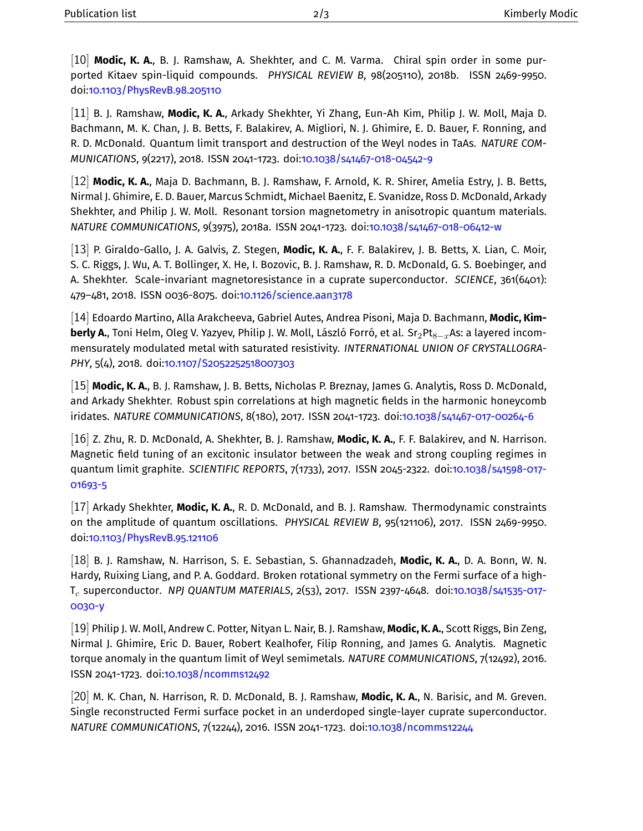[10] **Modic, K. A.**, B. J. Ramshaw, A. Shekhter, and C. M. Varma. Chiral spin order in some purported Kitaev spin-liquid compounds. *PHYSICAL REVIEW B*, 98(205110), 2018b. ISSN 2469-9950. doi[:10.1103/PhysRevB.98.205110](https://doi.org/10.1103/PhysRevB.98.205110)

[11] B. J. Ramshaw, **Modic, K. A.**, Arkady Shekhter, Yi Zhang, Eun-Ah Kim, Philip J. W. Moll, Maja D. Bachmann, M. K. Chan, J. B. Betts, F. Balakirev, A. Migliori, N. J. Ghimire, E. D. Bauer, F. Ronning, and R. D. McDonald. Quantum limit transport and destruction of the Weyl nodes in TaAs. *NATURE COM-MUNICATIONS*, 9(2217), 2018. ISSN 2041-1723. doi[:10.1038/s41467-018-04542-9](https://doi.org/10.1038/s41467-018-04542-9)

[12] **Modic, K. A.**, Maja D. Bachmann, B. J. Ramshaw, F. Arnold, K. R. Shirer, Amelia Estry, J. B. Betts, Nirmal J. Ghimire, E. D. Bauer, Marcus Schmidt, Michael Baenitz, E. Svanidze, Ross D. McDonald, Arkady Shekhter, and Philip J. W. Moll. Resonant torsion magnetometry in anisotropic quantum materials. *NATURE COMMUNICATIONS*, 9(3975), 2018a. ISSN 2041-1723. doi[:10.1038/s41467-018-06412-w](https://doi.org/10.1038/s41467-018-06412-w)

[13] P. Giraldo-Gallo, J. A. Galvis, Z. Stegen, **Modic, K. A.**, F. F. Balakirev, J. B. Betts, X. Lian, C. Moir, S. C. Riggs, J. Wu, A. T. Bollinger, X. He, I. Bozovic, B. J. Ramshaw, R. D. McDonald, G. S. Boebinger, and A. Shekhter. Scale-invariant magnetoresistance in a cuprate superconductor. *SCIENCE*, 361(6401): 479–481, 2018. ISSN 0036-8075. doi[:10.1126/science.aan3178](https://doi.org/10.1126/science.aan3178)

[14] Edoardo Martino, Alla Arakcheeva, Gabriel Autes, Andrea Pisoni, Maja D. Bachmann, **Modic, Kimberly A.**, Toni Helm, Oleg V. Yazyev, Philip J. W. Moll, László Forró, et al. Sr2Pt<sub>8−x</sub>As: a layered incommensurately modulated metal with saturated resistivity. *INTERNATIONAL UNION OF CRYSTALLOGRA-PHY*, 5(4), 2018. doi[:10.1107/S2052252518007303](https://doi.org/10.1107/S2052252518007303)

[15] **Modic, K. A.**, B. J. Ramshaw, J. B. Betts, Nicholas P. Breznay, James G. Analytis, Ross D. McDonald, and Arkady Shekhter. Robust spin correlations at high magnetic fields in the harmonic honeycomb iridates. *NATURE COMMUNICATIONS*, 8(180), 2017. ISSN 2041-1723. doi[:10.1038/s41467-017-00264-6](https://doi.org/10.1038/s41467-017-00264-6)

[16] Z. Zhu, R. D. McDonald, A. Shekhter, B. J. Ramshaw, **Modic, K. A.**, F. F. Balakirev, and N. Harrison. Magnetic field tuning of an excitonic insulator between the weak and strong coupling regimes in quantum limit graphite. *SCIENTIFIC REPORTS*, 7(1733), 2017. ISSN 2045-2322. doi[:10.1038/s41598-017-](https://doi.org/10.1038/s41598-017-01693-5) [01693-5](https://doi.org/10.1038/s41598-017-01693-5)

[17] Arkady Shekhter, **Modic, K. A.**, R. D. McDonald, and B. J. Ramshaw. Thermodynamic constraints on the amplitude of quantum oscillations. *PHYSICAL REVIEW B*, 95(121106), 2017. ISSN 2469-9950. doi[:10.1103/PhysRevB.95.121106](https://doi.org/10.1103/PhysRevB.95.121106)

[18] B. J. Ramshaw, N. Harrison, S. E. Sebastian, S. Ghannadzadeh, **Modic, K. A.**, D. A. Bonn, W. N. Hardy, Ruixing Liang, and P. A. Goddard. Broken rotational symmetry on the Fermi surface of a high-T<sup>c</sup> superconductor. *NPJ QUANTUM MATERIALS*, 2(53), 2017. ISSN 2397-4648. doi[:10.1038/s41535-017-](https://doi.org/10.1038/s41535-017-0030-y) [0030-y](https://doi.org/10.1038/s41535-017-0030-y)

[19] Philip J. W. Moll, Andrew C. Potter, Nityan L. Nair, B. J. Ramshaw, **Modic, K. A.**, Scott Riggs, Bin Zeng, Nirmal J. Ghimire, Eric D. Bauer, Robert Kealhofer, Filip Ronning, and James G. Analytis. Magnetic torque anomaly in the quantum limit of Weyl semimetals. *NATURE COMMUNICATIONS*, 7(12492), 2016. ISSN 2041-1723. doi[:10.1038/ncomms12492](https://doi.org/10.1038/ncomms12492)

[20] M. K. Chan, N. Harrison, R. D. McDonald, B. J. Ramshaw, **Modic, K. A.**, N. Barisic, and M. Greven. Single reconstructed Fermi surface pocket in an underdoped single-layer cuprate superconductor. *NATURE COMMUNICATIONS*, 7(12244), 2016. ISSN 2041-1723. doi[:10.1038/ncomms12244](https://doi.org/10.1038/ncomms12244)